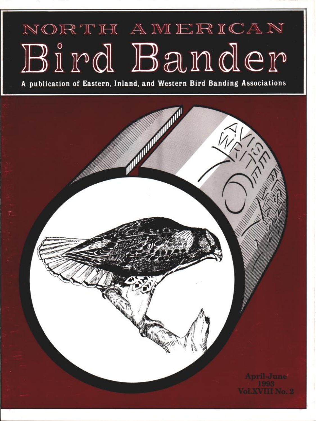# NORTH AMERICAN **Bird Bander**

**A publication of Eastern, Inland, and Western Bird Banding Associations**